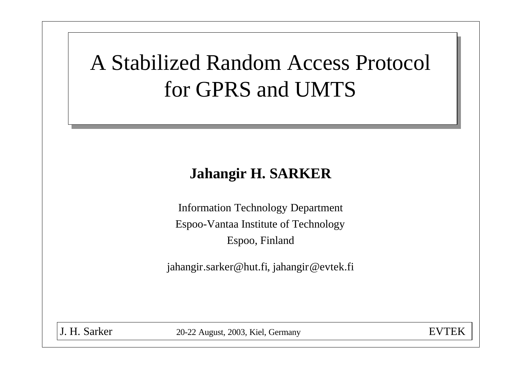# A Stabilized Random Access Protocol for GPRS and UMTS

#### **Jahangir H. SARKER**

Information Technology Department Espoo-Vantaa Institute of Technology Espoo, Finland

jahangir.sarker@hut.fi, jahangir@evtek.fi

J. H. Sarker 20-22 August, 2003, Kiel, Germany EVTEK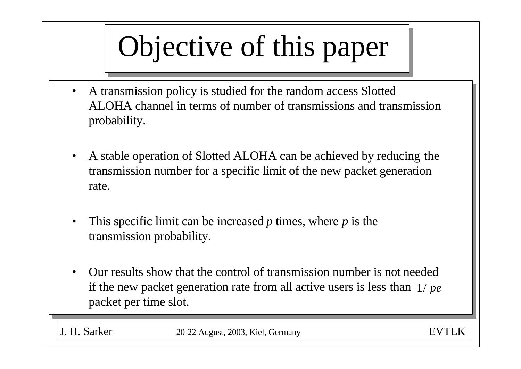# Objective of this paper

- A transmission policy is studied for the random access Slotted ALOHA channel in terms of number of transmissions and transmission probability.
- A stable operation of Slotted ALOHA can be achieved by reducing the transmission number for a specific limit of the new packet generation rate.
- This specific limit can be increased *p* times, where *p* is the transmission probability.
- Our results show that the control of transmission number is not needed if the new packet generation rate from all active users is less than 1/ *pe*packet per time slot.

J. H. Sarker 20-22 August, 2003, Kiel, Germany EVTEK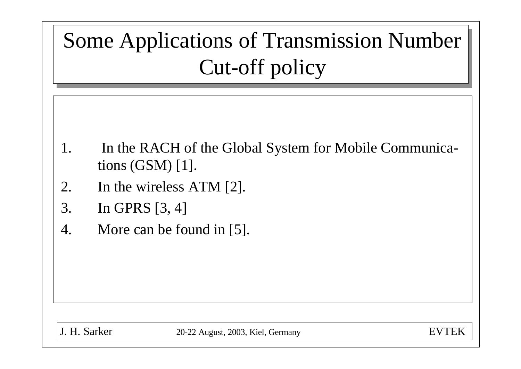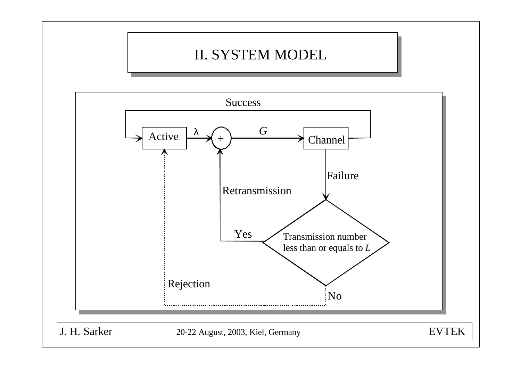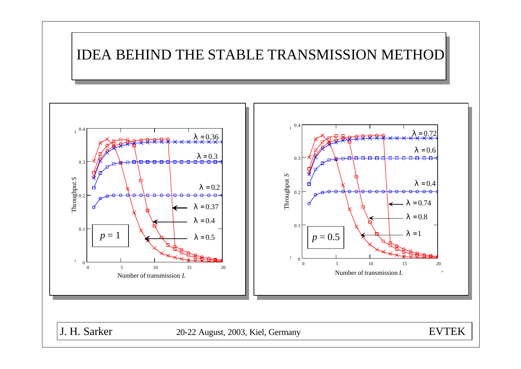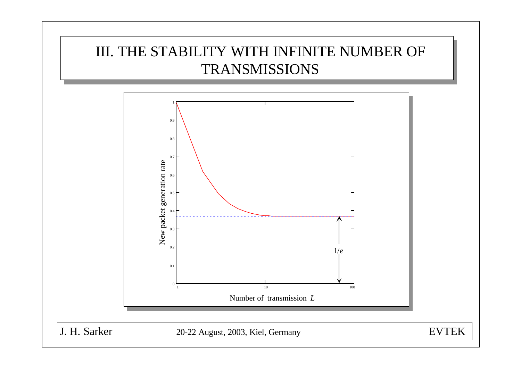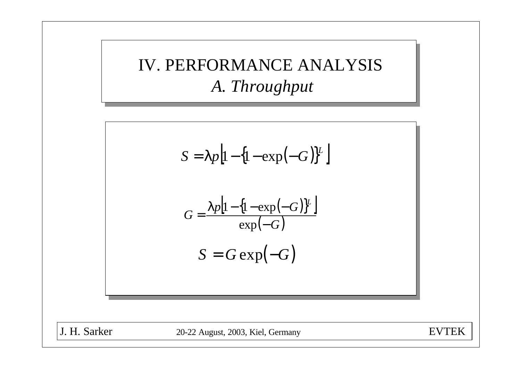IV. PERFORMANCE ANALYSIS *A. Throughput*



J. H. Sarker 20-22 August, 2003, Kiel, Germany EVTEK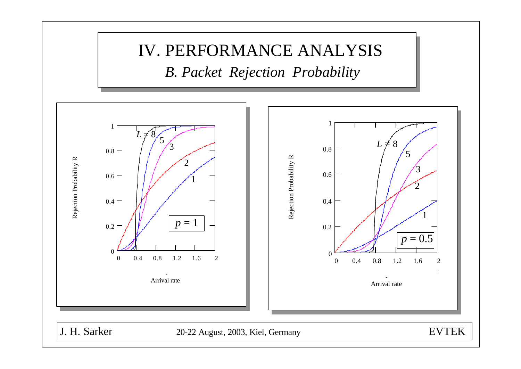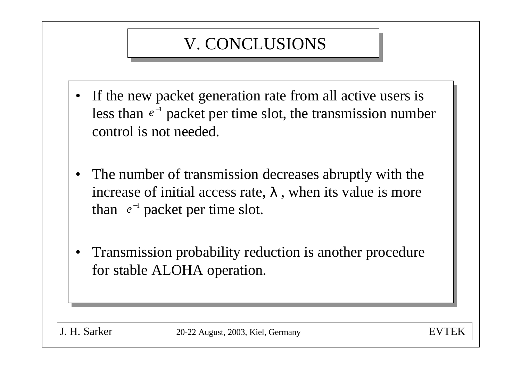## V. CONCLUSIONS

- If the new packet generation rate from all active users is less than  $e^{-1}$  packet per time slot, the transmission number control is not needed.
- The number of transmission decreases abruptly with the increase of initial access rate,  $I$ , when its value is more than  $e^{-1}$  packet per time slot.
- Transmission probability reduction is another procedure for stable ALOHA operation.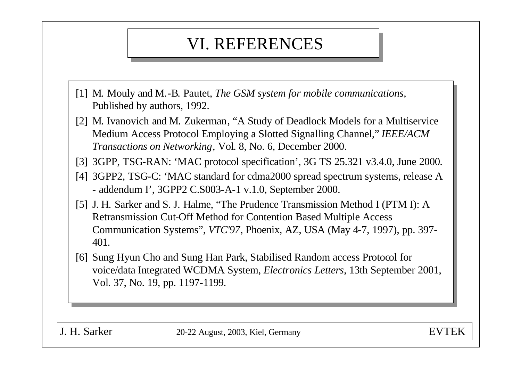### VI. REFERENCES

- [1] M. Mouly and M.-B. Pautet, *The GSM system for mobile communications,*  Published by authors, 1992.
- [2] M. Ivanovich and M. Zukerman, "A Study of Deadlock Models for a Multiservice Medium Access Protocol Employing a Slotted Signalling Channel," *IEEE/ACM Transactions on Networking*, Vol. 8, No. 6, December 2000.
- [3] 3GPP, TSG-RAN: 'MAC protocol specification', 3G TS 25.321 v3.4.0, June 2000.
- [4] 3GPP2, TSG-C: 'MAC standard for cdma2000 spread spectrum systems, release A - addendum I', 3GPP2 C.S003-A-1 v.1.0, September 2000.
- [5] J. H. Sarker and S. J. Halme, "The Prudence Transmission Method I (PTM I): A Retransmission Cut-Off Method for Contention Based Multiple Access Communication Systems", *VTC'97*, Phoenix, AZ, USA (May 4-7, 1997), pp. 397- 401.
- [6] Sung Hyun Cho and Sung Han Park, Stabilised Random access Protocol for voice/data Integrated WCDMA System, *Electronics Letters*, 13th September 2001, Vol. 37, No. 19, pp. 1197-1199.